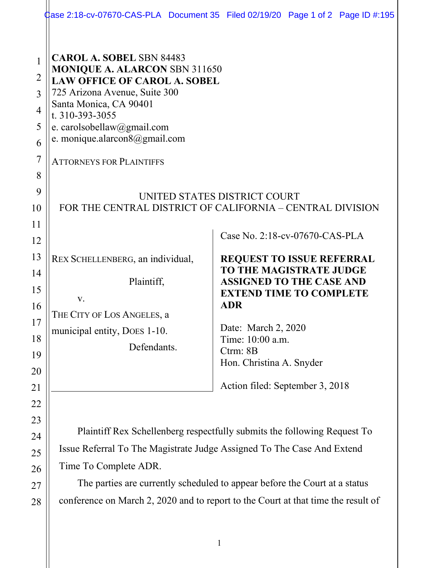|                                                                                                  | $\phi$ ase 2:18-cv-07670-CAS-PLA Document 35 Filed 02/19/20 Page 1 of 2 Page ID #:195                                                                                                                                                                                                                                                                                                       |                                                                                                                                                                                                                                                                                                        |  |  |
|--------------------------------------------------------------------------------------------------|---------------------------------------------------------------------------------------------------------------------------------------------------------------------------------------------------------------------------------------------------------------------------------------------------------------------------------------------------------------------------------------------|--------------------------------------------------------------------------------------------------------------------------------------------------------------------------------------------------------------------------------------------------------------------------------------------------------|--|--|
| $\mathbf{1}$<br>$\overline{2}$<br>$\overline{3}$<br>4<br>5<br>6<br>7<br>8<br>9<br>$\overline{0}$ | <b>CAROL A. SOBEL SBN 84483</b><br><b>MONIQUE A. ALARCON SBN 311650</b><br><b>LAW OFFICE OF CAROL A. SOBEL</b><br>725 Arizona Avenue, Suite 300<br>Santa Monica, CA 90401<br>t. 310-393-3055<br>e. carolsobellaw@gmail.com<br>e. monique.alarcon8@gmail.com<br><b>ATTORNEYS FOR PLAINTIFFS</b><br>UNITED STATES DISTRICT COURT<br>FOR THE CENTRAL DISTRICT OF CALIFORNIA – CENTRAL DIVISION |                                                                                                                                                                                                                                                                                                        |  |  |
| 1<br>$\overline{c}$<br>3<br>4<br>5<br>6<br>7<br>8<br>9<br>$\overline{0}$<br>1<br>$\overline{2}$  | REX SCHELLENBERG, an individual,<br>Plaintiff,<br>V.<br>THE CITY OF LOS ANGELES, a<br>municipal entity, DOES 1-10.<br>Defendants.                                                                                                                                                                                                                                                           | Case No. 2:18-cv-07670-CAS-PLA<br><b>REQUEST TO ISSUE REFERRAL</b><br>TO THE MAGISTRATE JUDGE<br><b>ASSIGNED TO THE CASE AND</b><br><b>EXTEND TIME TO COMPLETE</b><br><b>ADR</b><br>Date: March 2, 2020<br>Time: 10:00 a.m.<br>Ctrm: 8B<br>Hon. Christina A. Snyder<br>Action filed: September 3, 2018 |  |  |

Plaintiff Rex Schellenberg respectfully submits the following Request To Issue Referral To The Magistrate Judge Assigned To The Case And Extend Time To Complete ADR.

The parties are currently scheduled to appear before the Court at a status conference on March 2, 2020 and to report to the Court at that time the result of